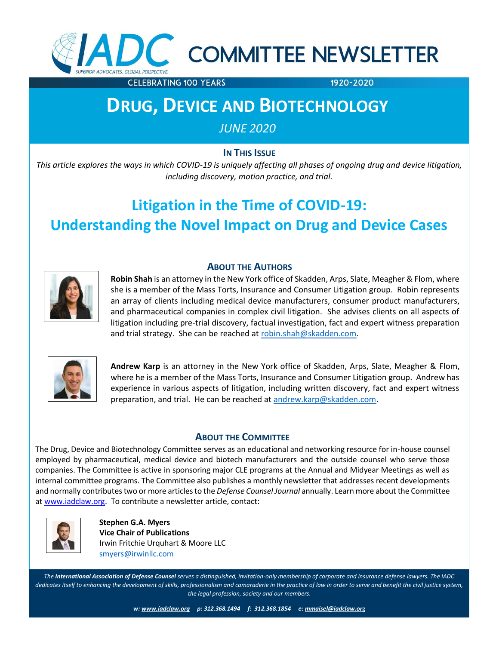

**CELEBRATING 100 YEARS** 

1920-2020

# **DRUG, DEVICE AND BIOTECHNOLOGY**

*JUNE 2020*

**IN THIS ISSUE** 

*This article explores the ways in which COVID-19 is uniquely affecting all phases of ongoing drug and device litigation, October 2014 including discovery, motion practice, and trial.*

# **Litigation in the Time of COVID-19: Understanding the Novel Impact on Drug and Device Cases**



## **ABOUT THE AUTHORS**

**Robin Shah** is an attorney in the New York office of Skadden, Arps, Slate, Meagher & Flom, where she is a member of the Mass Torts, Insurance and Consumer Litigation group. Robin represents an array of clients including medical device manufacturers, consumer product manufacturers, and pharmaceutical companies in complex civil litigation. She advises clients on all aspects of litigation including pre-trial discovery, factual investigation, fact and expert witness preparation and trial strategy. She can be reached at [robin.shah@skadden.com.](mailto:robin.shah@skadden.com)



**Andrew Karp** is an attorney in the New York office of Skadden, Arps, Slate, Meagher & Flom, where he is a member of the Mass Torts, Insurance and Consumer Litigation group. Andrew has experience in various aspects of litigation, including written discovery, fact and expert witness preparation, and trial. He can be reached at [andrew.karp@skadden.com.](mailto:andrew.karp@skadden.com)

# **ABOUT THE COMMITTEE**

The Drug, Device and Biotechnology Committee serves as an educational and networking resource for in-house counsel employed by pharmaceutical, medical device and biotech manufacturers and the outside counsel who serve those companies. The Committee is active in sponsoring major CLE programs at the Annual and Midyear Meetings as well as internal committee programs. The Committee also publishes a monthly newsletter that addresses recent developments and normally contributes two or more articles to the *Defense Counsel Journal* annually. Learn more about the Committee at [www.iadclaw.org.](http://www.iadclaw.org/) To contribute a newsletter article, contact:



 **Stephen G.A. Myers Vice Chair of Publications** Irwin Fritchie Urquhart & Moore LLC [smyers@irwinllc.com](mailto:smyers@irwinllc.com)

**I. Introduction** *dedicates itself to enhancing the development of skills, professionalism and camaraderie in the practice of law in order to serve and benefit the civil justice system, The International Association of Defense Counsel serves a distinguished, invitation-only membership of corporate and insurance defense lawyers. The IADC the legal profession, society and our members.*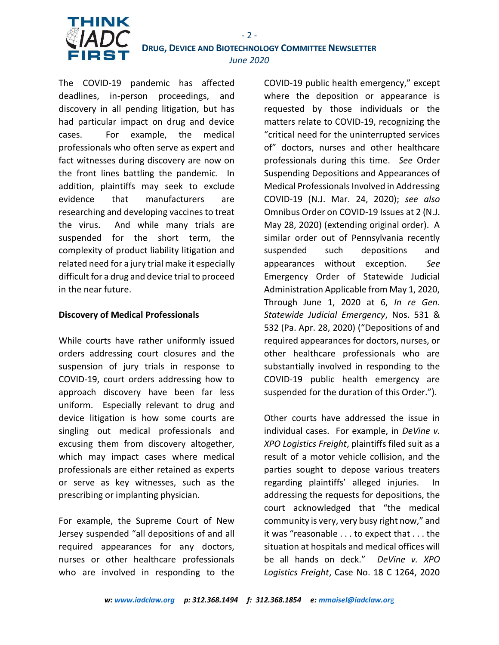

# **DRUG, DEVICE AND BIOTECHNOLOGY COMMITTEE NEWSLETTER** *June 2020*

 $- 2 -$ 

The COVID-19 pandemic has affected deadlines, in-person proceedings, and discovery in all pending litigation, but has had particular impact on drug and device cases. For example, the medical professionals who often serve as expert and fact witnesses during discovery are now on the front lines battling the pandemic. In addition, plaintiffs may seek to exclude evidence that manufacturers are researching and developing vaccines to treat the virus. And while many trials are suspended for the short term, the complexity of product liability litigation and related need for a jury trial make it especially difficult for a drug and device trial to proceed in the near future.

### **Discovery of Medical Professionals**

While courts have rather uniformly issued orders addressing court closures and the suspension of jury trials in response to COVID-19, court orders addressing how to approach discovery have been far less uniform. Especially relevant to drug and device litigation is how some courts are singling out medical professionals and excusing them from discovery altogether, which may impact cases where medical professionals are either retained as experts or serve as key witnesses, such as the prescribing or implanting physician.

For example, the Supreme Court of New Jersey suspended "all depositions of and all required appearances for any doctors, nurses or other healthcare professionals who are involved in responding to the

COVID-19 public health emergency," except where the deposition or appearance is requested by those individuals or the matters relate to COVID-19, recognizing the "critical need for the uninterrupted services of" doctors, nurses and other healthcare professionals during this time. *See* Order Suspending Depositions and Appearances of Medical Professionals Involved in Addressing COVID-19 (N.J. Mar. 24, 2020); *see also* Omnibus Order on COVID-19 Issues at 2 (N.J. May 28, 2020) (extending original order). A similar order out of Pennsylvania recently suspended such depositions and appearances without exception. *See* Emergency Order of Statewide Judicial Administration Applicable from May 1, 2020, Through June 1, 2020 at 6, *In re Gen. Statewide Judicial Emergency*, Nos. 531 & 532 (Pa. Apr. 28, 2020) ("Depositions of and required appearances for doctors, nurses, or other healthcare professionals who are substantially involved in responding to the COVID-19 public health emergency are suspended for the duration of this Order.").

Other courts have addressed the issue in individual cases. For example, in *DeVine v. XPO Logistics Freight*, plaintiffs filed suit as a result of a motor vehicle collision, and the parties sought to depose various treaters regarding plaintiffs' alleged injuries. In addressing the requests for depositions, the court acknowledged that "the medical community is very, very busy right now," and it was "reasonable . . . to expect that . . . the situation at hospitals and medical offices will be all hands on deck." *DeVine v. XPO Logistics Freight*, Case No. 18 C 1264, 2020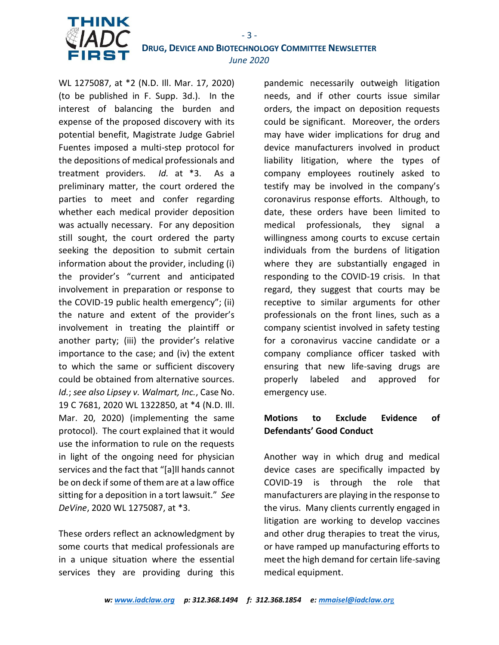

 **DRUG, DEVICE AND BIOTECHNOLOGY COMMITTEE NEWSLETTER** *June 2020*

WL 1275087, at \*2 (N.D. Ill. Mar. 17, 2020) (to be published in F. Supp. 3d.). In the interest of balancing the burden and expense of the proposed discovery with its potential benefit, Magistrate Judge Gabriel Fuentes imposed a multi-step protocol for the depositions of medical professionals and treatment providers. *Id.* at \*3. As a preliminary matter, the court ordered the parties to meet and confer regarding whether each medical provider deposition was actually necessary. For any deposition still sought, the court ordered the party seeking the deposition to submit certain information about the provider, including (i) the provider's "current and anticipated involvement in preparation or response to the COVID-19 public health emergency"; (ii) the nature and extent of the provider's involvement in treating the plaintiff or another party; (iii) the provider's relative importance to the case; and (iv) the extent to which the same or sufficient discovery could be obtained from alternative sources. *Id.*; *see also Lipsey v. Walmart, Inc.*, Case No. 19 C 7681, 2020 WL 1322850, at \*4 (N.D. Ill. Mar. 20, 2020) (implementing the same protocol). The court explained that it would use the information to rule on the requests in light of the ongoing need for physician services and the fact that "[a]ll hands cannot be on deck if some of them are at a law office sitting for a deposition in a tort lawsuit." *See DeVine*, 2020 WL 1275087, at \*3.

These orders reflect an acknowledgment by some courts that medical professionals are in a unique situation where the essential services they are providing during this

pandemic necessarily outweigh litigation needs, and if other courts issue similar orders, the impact on deposition requests could be significant. Moreover, the orders may have wider implications for drug and device manufacturers involved in product liability litigation, where the types of company employees routinely asked to testify may be involved in the company's coronavirus response efforts. Although, to date, these orders have been limited to medical professionals, they signal a willingness among courts to excuse certain individuals from the burdens of litigation where they are substantially engaged in responding to the COVID-19 crisis. In that regard, they suggest that courts may be receptive to similar arguments for other professionals on the front lines, such as a company scientist involved in safety testing for a coronavirus vaccine candidate or a company compliance officer tasked with ensuring that new life-saving drugs are properly labeled and approved for emergency use.

# **Motions to Exclude Evidence of Defendants' Good Conduct**

Another way in which drug and medical device cases are specifically impacted by COVID-19 is through the role that manufacturers are playing in the response to the virus. Many clients currently engaged in litigation are working to develop vaccines and other drug therapies to treat the virus, or have ramped up manufacturing efforts to meet the high demand for certain life-saving medical equipment.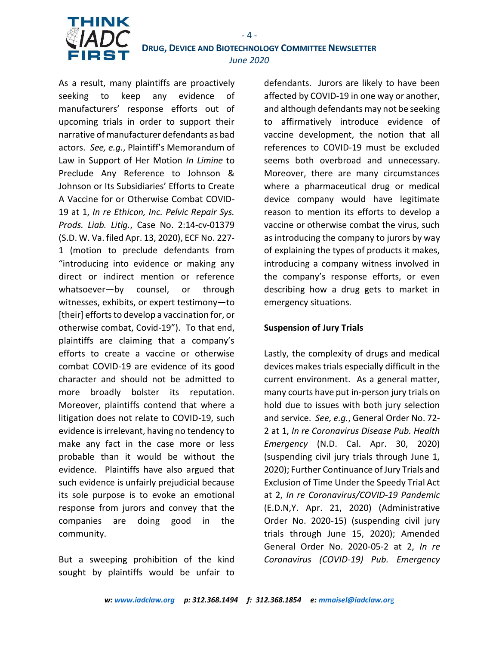

 **DRUG, DEVICE AND BIOTECHNOLOGY COMMITTEE NEWSLETTER** *June 2020*

As a result, many plaintiffs are proactively seeking to keep any evidence of manufacturers' response efforts out of upcoming trials in order to support their narrative of manufacturer defendants as bad actors. *See, e.g.*, Plaintiff's Memorandum of Law in Support of Her Motion *In Limine* to Preclude Any Reference to Johnson & Johnson or Its Subsidiaries' Efforts to Create A Vaccine for or Otherwise Combat COVID-19 at 1, *In re Ethicon, Inc. Pelvic Repair Sys. Prods. Liab. Litig.*, Case No. 2:14-cv-01379 (S.D. W. Va. filed Apr. 13, 2020), ECF No. 227- 1 (motion to preclude defendants from "introducing into evidence or making any direct or indirect mention or reference whatsoever—by counsel, or through witnesses, exhibits, or expert testimony—to [their] efforts to develop a vaccination for, or otherwise combat, Covid-19"). To that end, plaintiffs are claiming that a company's efforts to create a vaccine or otherwise combat COVID-19 are evidence of its good character and should not be admitted to more broadly bolster its reputation. Moreover, plaintiffs contend that where a litigation does not relate to COVID-19, such evidence is irrelevant, having no tendency to make any fact in the case more or less probable than it would be without the evidence. Plaintiffs have also argued that such evidence is unfairly prejudicial because its sole purpose is to evoke an emotional response from jurors and convey that the companies are doing good in the community.

But a sweeping prohibition of the kind sought by plaintiffs would be unfair to

defendants. Jurors are likely to have been affected by COVID-19 in one way or another, and although defendants may not be seeking to affirmatively introduce evidence of vaccine development, the notion that all references to COVID-19 must be excluded seems both overbroad and unnecessary. Moreover, there are many circumstances where a pharmaceutical drug or medical device company would have legitimate reason to mention its efforts to develop a vaccine or otherwise combat the virus, such as introducing the company to jurors by way of explaining the types of products it makes, introducing a company witness involved in the company's response efforts, or even describing how a drug gets to market in emergency situations.

#### **Suspension of Jury Trials**

Lastly, the complexity of drugs and medical devices makes trials especially difficult in the current environment. As a general matter, many courts have put in-person jury trials on hold due to issues with both jury selection and service. *See, e.g.*, General Order No. 72- 2 at 1, *In re Coronavirus Disease Pub. Health Emergency* (N.D. Cal. Apr. 30, 2020) (suspending civil jury trials through June 1, 2020); Further Continuance of Jury Trials and Exclusion of Time Under the Speedy Trial Act at 2, *In re Coronavirus/COVID-19 Pandemic* (E.D.N,Y. Apr. 21, 2020) (Administrative Order No. 2020-15) (suspending civil jury trials through June 15, 2020); Amended General Order No. 2020-05-2 at 2, *In re Coronavirus (COVID-19) Pub. Emergency*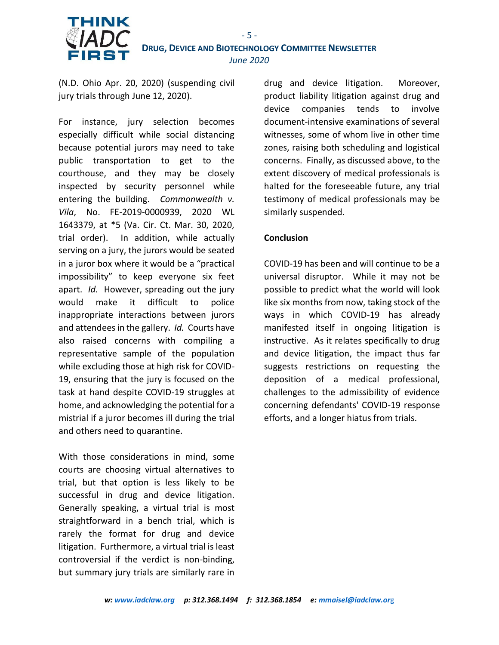

(N.D. Ohio Apr. 20, 2020) (suspending civil jury trials through June 12, 2020).

For instance, jury selection becomes especially difficult while social distancing because potential jurors may need to take public transportation to get to the courthouse, and they may be closely inspected by security personnel while entering the building. *Commonwealth v. Vila*, No. FE-2019-0000939, 2020 WL 1643379, at \*5 (Va. Cir. Ct. Mar. 30, 2020, trial order). In addition, while actually serving on a jury, the jurors would be seated in a juror box where it would be a "practical impossibility" to keep everyone six feet apart. *Id.* However, spreading out the jury would make it difficult to police inappropriate interactions between jurors and attendees in the gallery. *Id.* Courts have also raised concerns with compiling a representative sample of the population while excluding those at high risk for COVID-19, ensuring that the jury is focused on the task at hand despite COVID-19 struggles at home, and acknowledging the potential for a mistrial if a juror becomes ill during the trial and others need to quarantine.

With those considerations in mind, some courts are choosing virtual alternatives to trial, but that option is less likely to be successful in drug and device litigation. Generally speaking, a virtual trial is most straightforward in a bench trial, which is rarely the format for drug and device litigation. Furthermore, a virtual trial is least controversial if the verdict is non-binding, but summary jury trials are similarly rare in drug and device litigation. Moreover, product liability litigation against drug and device companies tends to involve document-intensive examinations of several witnesses, some of whom live in other time zones, raising both scheduling and logistical concerns. Finally, as discussed above, to the extent discovery of medical professionals is halted for the foreseeable future, any trial testimony of medical professionals may be similarly suspended.

### **Conclusion**

COVID-19 has been and will continue to be a universal disruptor. While it may not be possible to predict what the world will look like six months from now, taking stock of the ways in which COVID-19 has already manifested itself in ongoing litigation is instructive. As it relates specifically to drug and device litigation, the impact thus far suggests restrictions on requesting the deposition of a medical professional, challenges to the admissibility of evidence concerning defendants' COVID-19 response efforts, and a longer hiatus from trials.